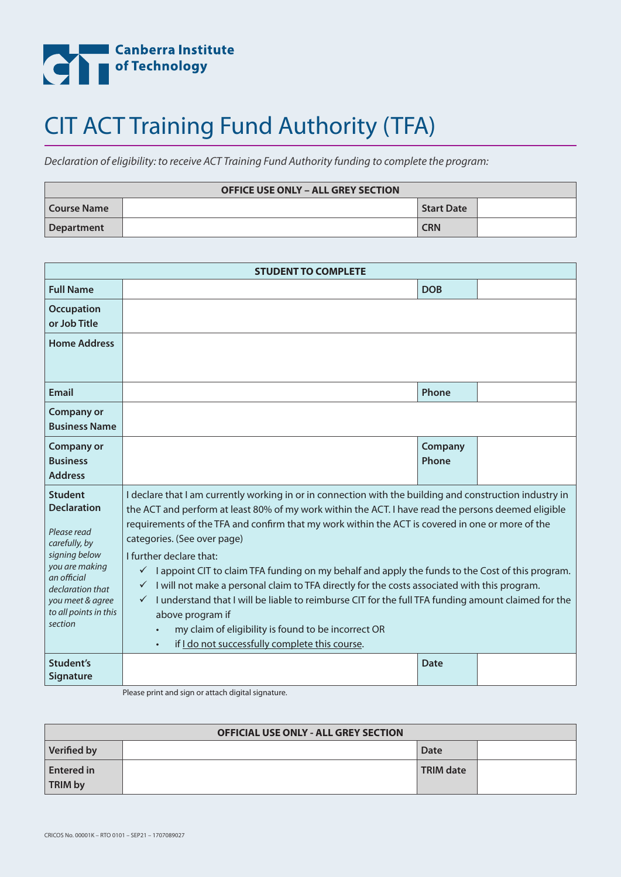

## CIT ACT Training Fund Authority (TFA)

*Declaration of eligibility: to receive ACT Training Fund Authority funding to complete the program:*

| <b>OFFICE USE ONLY - ALL GREY SECTION</b> |  |                   |  |  |
|-------------------------------------------|--|-------------------|--|--|
| Course Name                               |  | <b>Start Date</b> |  |  |
| Department                                |  | <b>CRN</b>        |  |  |

| <b>STUDENT TO COMPLETE</b>                                                                                                                                                                         |                                                                                                                                                                                                                                                                                                                                                                                                                                                                                                                                                                                                                                                                                                                                                                                                                                       |                  |  |  |
|----------------------------------------------------------------------------------------------------------------------------------------------------------------------------------------------------|---------------------------------------------------------------------------------------------------------------------------------------------------------------------------------------------------------------------------------------------------------------------------------------------------------------------------------------------------------------------------------------------------------------------------------------------------------------------------------------------------------------------------------------------------------------------------------------------------------------------------------------------------------------------------------------------------------------------------------------------------------------------------------------------------------------------------------------|------------------|--|--|
| <b>Full Name</b>                                                                                                                                                                                   |                                                                                                                                                                                                                                                                                                                                                                                                                                                                                                                                                                                                                                                                                                                                                                                                                                       | <b>DOB</b>       |  |  |
| <b>Occupation</b><br>or Job Title                                                                                                                                                                  |                                                                                                                                                                                                                                                                                                                                                                                                                                                                                                                                                                                                                                                                                                                                                                                                                                       |                  |  |  |
| <b>Home Address</b>                                                                                                                                                                                |                                                                                                                                                                                                                                                                                                                                                                                                                                                                                                                                                                                                                                                                                                                                                                                                                                       |                  |  |  |
| <b>Email</b>                                                                                                                                                                                       |                                                                                                                                                                                                                                                                                                                                                                                                                                                                                                                                                                                                                                                                                                                                                                                                                                       | Phone            |  |  |
| <b>Company or</b><br><b>Business Name</b>                                                                                                                                                          |                                                                                                                                                                                                                                                                                                                                                                                                                                                                                                                                                                                                                                                                                                                                                                                                                                       |                  |  |  |
| <b>Company or</b><br><b>Business</b><br><b>Address</b>                                                                                                                                             |                                                                                                                                                                                                                                                                                                                                                                                                                                                                                                                                                                                                                                                                                                                                                                                                                                       | Company<br>Phone |  |  |
| <b>Student</b><br><b>Declaration</b><br>Please read<br>carefully, by<br>signing below<br>you are making<br>an official<br>declaration that<br>you meet & agree<br>to all points in this<br>section | I declare that I am currently working in or in connection with the building and construction industry in<br>the ACT and perform at least 80% of my work within the ACT. I have read the persons deemed eligible<br>requirements of the TFA and confirm that my work within the ACT is covered in one or more of the<br>categories. (See over page)<br>I further declare that:<br>I appoint CIT to claim TFA funding on my behalf and apply the funds to the Cost of this program.<br>$\checkmark$<br>I will not make a personal claim to TFA directly for the costs associated with this program.<br>I understand that I will be liable to reimburse CIT for the full TFA funding amount claimed for the<br>above program if<br>my claim of eligibility is found to be incorrect OR<br>if I do not successfully complete this course. |                  |  |  |
| Student's<br><b>Signature</b>                                                                                                                                                                      |                                                                                                                                                                                                                                                                                                                                                                                                                                                                                                                                                                                                                                                                                                                                                                                                                                       | <b>Date</b>      |  |  |

Please print and sign or attach digital signature.

| <b>OFFICIAL USE ONLY - ALL GREY SECTION</b> |  |                  |  |  |
|---------------------------------------------|--|------------------|--|--|
| <b>Verified by</b>                          |  | Date             |  |  |
| <b>Entered in</b>                           |  | <b>TRIM date</b> |  |  |
| <b>TRIM by</b>                              |  |                  |  |  |